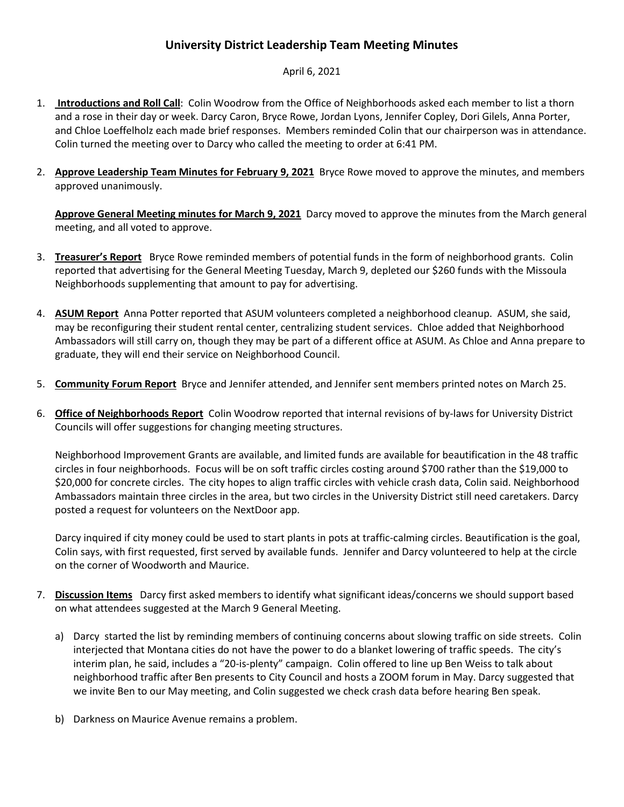## **University District Leadership Team Meeting Minutes**

## April 6, 2021

- 1. **Introductions and Roll Call**: Colin Woodrow from the Office of Neighborhoods asked each member to list a thorn and a rose in their day or week. Darcy Caron, Bryce Rowe, Jordan Lyons, Jennifer Copley, Dori Gilels, Anna Porter, and Chloe Loeffelholz each made brief responses. Members reminded Colin that our chairperson was in attendance. Colin turned the meeting over to Darcy who called the meeting to order at 6:41 PM.
- 2. **Approve Leadership Team Minutes for [February 9, 2021](https://www.ci.missoula.mt.us/Archive.aspx?ADID=15811)** Bryce Rowe moved to approve the minutes, and members approved unanimously.

**Approve General Meeting minutes for March [9, 2021](https://www.ci.missoula.mt.us/Archive.aspx?ADID=15888)** Darcy moved to approve the minutes from the March general meeting, and all voted to approve.

- 3. **Treasurer's Report** Bryce Rowe reminded members of potential funds in the form of neighborhood grants. Colin reported that advertising for the General Meeting Tuesday, March 9, depleted our \$260 funds with the Missoula Neighborhoods supplementing that amount to pay for advertising.
- 4. **ASUM Report** Anna Potter reported that ASUM volunteers completed a neighborhood cleanup. ASUM, she said, may be reconfiguring their student rental center, centralizing student services. Chloe added that Neighborhood Ambassadors will still carry on, though they may be part of a different office at ASUM. As Chloe and Anna prepare to graduate, they will end their service on Neighborhood Council.
- 5. **Community Forum Report** Bryce and Jennifer attended, and Jennifer sent members printed notes on March 25.
- 6. **Office of Neighborhoods Report** Colin Woodrow reported that internal revisions of by-laws for University District Councils will offer suggestions for changing meeting structures.

Neighborhood Improvement Grants are available, and limited funds are available for beautification in the 48 traffic circles in four neighborhoods. Focus will be on soft traffic circles costing around \$700 rather than the \$19,000 to \$20,000 for concrete circles. The city hopes to align traffic circles with vehicle crash data, Colin said. Neighborhood Ambassadors maintain three circles in the area, but two circles in the University District still need caretakers. Darcy posted a request for volunteers on the NextDoor app.

Darcy inquired if city money could be used to start plants in pots at traffic-calming circles. Beautification is the goal, Colin says, with first requested, first served by available funds. Jennifer and Darcy volunteered to help at the circle on the corner of Woodworth and Maurice.

- 7. **Discussion Items** Darcy first asked members to identify what significant ideas/concerns we should support based on what attendees suggested at the March 9 General Meeting.
	- a) Darcy started the list by reminding members of continuing concerns about slowing traffic on side streets. Colin interjected that Montana cities do not have the power to do a blanket lowering of traffic speeds. The city's interim plan, he said, includes a "20-is-plenty" campaign. Colin offered to line up Ben Weiss to talk about neighborhood traffic after Ben presents to City Council and hosts a ZOOM forum in May. Darcy suggested that we invite Ben to our May meeting, and Colin suggested we check crash data before hearing Ben speak.
	- b) Darkness on Maurice Avenue remains a problem.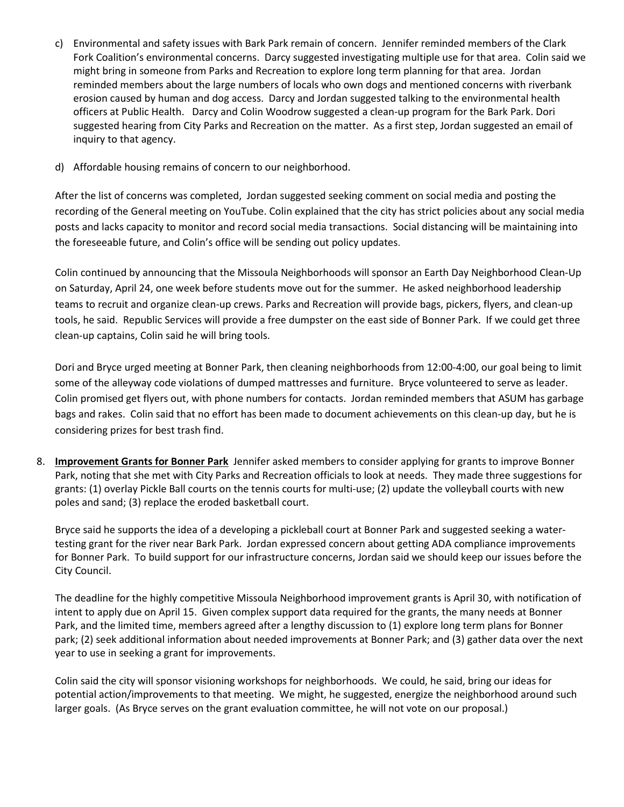- c) Environmental and safety issues with Bark Park remain of concern. Jennifer reminded members of the Clark Fork Coalition's environmental concerns. Darcy suggested investigating multiple use for that area. Colin said we might bring in someone from Parks and Recreation to explore long term planning for that area. Jordan reminded members about the large numbers of locals who own dogs and mentioned concerns with riverbank erosion caused by human and dog access. Darcy and Jordan suggested talking to the environmental health officers at Public Health. Darcy and Colin Woodrow suggested a clean-up program for the Bark Park. Dori suggested hearing from City Parks and Recreation on the matter. As a first step, Jordan suggested an email of inquiry to that agency.
- d) Affordable housing remains of concern to our neighborhood.

After the list of concerns was completed, Jordan suggested seeking comment on social media and posting the recording of the General meeting on YouTube. Colin explained that the city has strict policies about any social media posts and lacks capacity to monitor and record social media transactions. Social distancing will be maintaining into the foreseeable future, and Colin's office will be sending out policy updates.

Colin continued by announcing that the Missoula Neighborhoods will sponsor an Earth Day Neighborhood Clean-Up on Saturday, April 24, one week before students move out for the summer. He asked neighborhood leadership teams to recruit and organize clean-up crews. Parks and Recreation will provide bags, pickers, flyers, and clean-up tools, he said. Republic Services will provide a free dumpster on the east side of Bonner Park. If we could get three clean-up captains, Colin said he will bring tools.

Dori and Bryce urged meeting at Bonner Park, then cleaning neighborhoods from 12:00-4:00, our goal being to limit some of the alleyway code violations of dumped mattresses and furniture. Bryce volunteered to serve as leader. Colin promised get flyers out, with phone numbers for contacts. Jordan reminded members that ASUM has garbage bags and rakes. Colin said that no effort has been made to document achievements on this clean-up day, but he is considering prizes for best trash find.

8. **Improvement Grants for Bonner Park** Jennifer asked members to consider applying for grants to improve Bonner Park, noting that she met with City Parks and Recreation officials to look at needs. They made three suggestions for grants: (1) overlay Pickle Ball courts on the tennis courts for multi-use; (2) update the volleyball courts with new poles and sand; (3) replace the eroded basketball court.

Bryce said he supports the idea of a developing a pickleball court at Bonner Park and suggested seeking a watertesting grant for the river near Bark Park. Jordan expressed concern about getting ADA compliance improvements for Bonner Park. To build support for our infrastructure concerns, Jordan said we should keep our issues before the City Council.

The deadline for the highly competitive Missoula Neighborhood improvement grants is April 30, with notification of intent to apply due on April 15. Given complex support data required for the grants, the many needs at Bonner Park, and the limited time, members agreed after a lengthy discussion to (1) explore long term plans for Bonner park; (2) seek additional information about needed improvements at Bonner Park; and (3) gather data over the next year to use in seeking a grant for improvements.

Colin said the city will sponsor visioning workshops for neighborhoods. We could, he said, bring our ideas for potential action/improvements to that meeting. We might, he suggested, energize the neighborhood around such larger goals. (As Bryce serves on the grant evaluation committee, he will not vote on our proposal.)